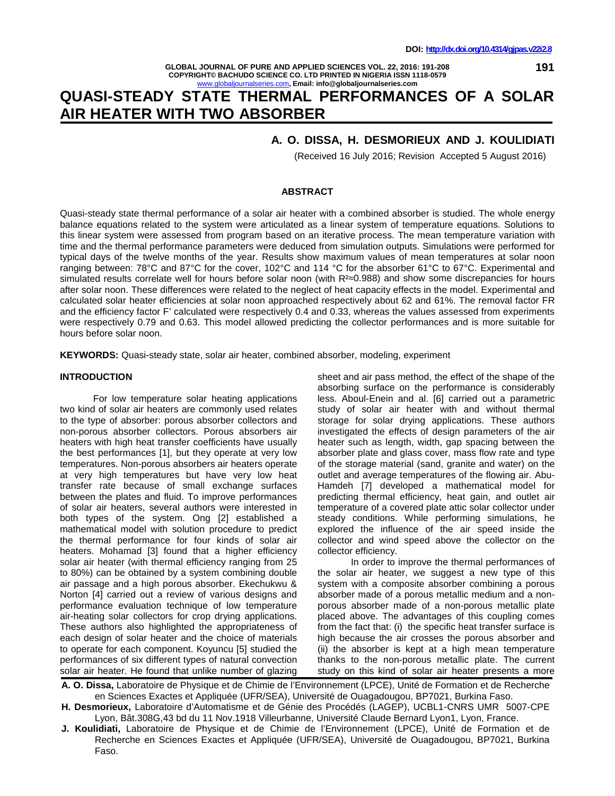**191**

**GLOBAL JOURNAL OF PURE AND APPLIED SCIENCES VOL. 22, 2016: 191-208 COPYRIGHT© BACHUDO SCIENCE CO. LTD PRINTED IN NIGERIA ISSN 1118-0579** iournalseries.com, Email: info@globaljournalseries.com

# **QUASI-STEADY STATE THERMAL PERFORMANCES OF A SOLAR AIR HEATER WITH TWO ABSORBER**

## **A. O. DISSA, H. DESMORIEUX AND J. KOULIDIATI**

(Received 16 July 2016; Revision Accepted 5 August 2016)

#### **ABSTRACT**

Quasi-steady state thermal performance of a solar air heater with a combined absorber is studied. The whole energy balance equations related to the system were articulated as a linear system of temperature equations. Solutions to this linear system were assessed from program based on an iterative process. The mean temperature variation with time and the thermal performance parameters were deduced from simulation outputs. Simulations were performed for typical days of the twelve months of the year. Results show maximum values of mean temperatures at solar noon ranging between: 78°C and 87°C for the cover, 102°C and 114 °C for the absorber 61°C to 67°C. Experimental and simulated results correlate well for hours before solar noon (with  $R<sup>2</sup>$  0.988) and show some discrepancies for hours after solar noon. These differences were related to the neglect of heat capacity effects in the model. Experimental and calculated solar heater efficiencies at solar noon approached respectively about 62 and 61%. The removal factor FR and the efficiency factor F' calculated were respectively 0.4 and 0.33, whereas the values assessed from experiments were respectively 0.79 and 0.63. This model allowed predicting the collector performances and is more suitable for hours before solar noon.

**KEYWORDS:** Quasi-steady state, solar air heater, combined absorber, modeling, experiment

#### **INTRODUCTION**

For low temperature solar heating applications two kind of solar air heaters are commonly used relates to the type of absorber: porous absorber collectors and non-porous absorber collectors. Porous absorbers air heaters with high heat transfer coefficients have usually the best performances [1], but they operate at very low temperatures. Non-porous absorbers air heaters operate at very high temperatures but have very low heat transfer rate because of small exchange surfaces between the plates and fluid. To improve performances of solar air heaters, several authors were interested in both types of the system. Ong [2] established a mathematical model with solution procedure to predict the thermal performance for four kinds of solar air heaters. Mohamad [3] found that a higher efficiency solar air heater (with thermal efficiency ranging from 25 to 80%) can be obtained by a system combining double air passage and a high porous absorber. Ekechukwu & Norton [4] carried out a review of various designs and performance evaluation technique of low temperature air-heating solar collectors for crop drying applications. These authors also highlighted the appropriateness of each design of solar heater and the choice of materials to operate for each component. Koyuncu [5] studied the performances of six different types of natural convection solar air heater. He found that unlike number of glazing

sheet and air pass method, the effect of the shape of the absorbing surface on the performance is considerably less. Aboul-Enein and al. [6] carried out a parametric study of solar air heater with and without thermal storage for solar drying applications. These authors investigated the effects of design parameters of the air heater such as length, width, gap spacing between the absorber plate and glass cover, mass flow rate and type of the storage material (sand, granite and water) on the outlet and average temperatures of the flowing air. Abu- Hamdeh [7] developed a mathematical model for predicting thermal efficiency, heat gain, and outlet air temperature of a covered plate attic solar collector under steady conditions. While performing simulations, he explored the influence of the air speed inside the collector and wind speed above the collector on the collector efficiency.

In order to improve the thermal performances of the solar air heater, we suggest a new type of this system with a composite absorber combining a porous absorber made of a porous metallic medium and a non porous absorber made of a non-porous metallic plate placed above. The advantages of this coupling comes from the fact that: (i) the specific heat transfer surface is high because the air crosses the porous absorber and (ii) the absorber is kept at a high mean temperature thanks to the non-porous metallic plate. The current study on this kind of solar air heater presents a more

**A. O. Dissa,** Laboratoire de Physique et de Chimie de l'Environnement (LPCE), Unité de Formation et de Recherche en Sciences Exactes et Appliquée (UFR/SEA), Université de Ouagadougou, BP7021, Burkina Faso.

- **H. Desmorieux,** Laboratoire d'Automatisme et de Génie des Procédés (LAGEP), UCBL1-CNRS UMR 5007-CPE Lyon, Bât.308G,43 bd du 11 Nov.1918 Villeurbanne, Université Claude Bernard Lyon1, Lyon, France.
- **J. Koulidiati,** Laboratoire de Physique et de Chimie de l'Environnement (LPCE), Unité de Formation et de Recherche en Sciences Exactes et Appliquée (UFR/SEA), Université de Ouagadougou, BP7021, Burkina Faso.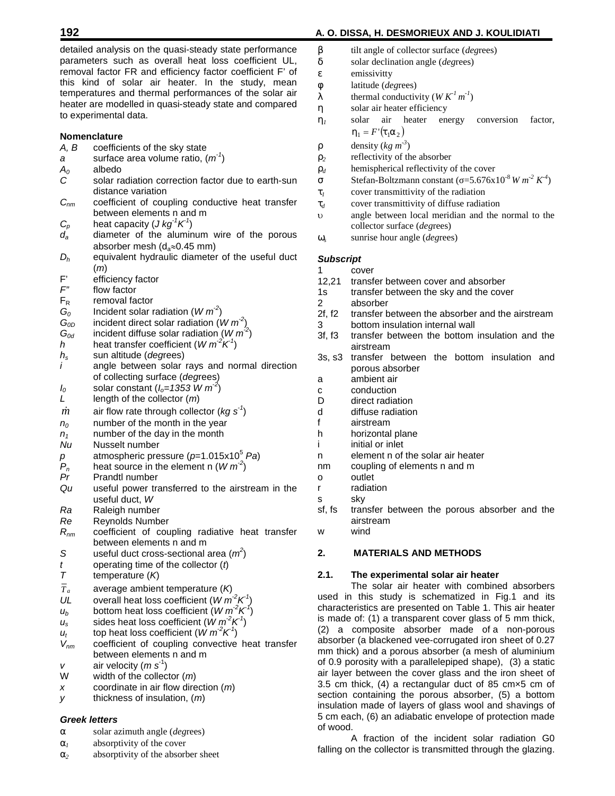detailed analysis on the quasi-steady state performance parameters such as overall heat loss coefficient UL, u removal factor FR and efficiency factor coefficient F' of  $V$ this kind of solar air heater. In the study, mean  $_W$ temperatures and thermal performances of the solar air heater are modelled in quasi-steady state and compared  $\gamma$ to experimental data.

#### **Nomenclature**

- *A, B* coefficients of the sky state
- *a* surface area volume ratio, (*m -1* )
- $A_0$  albedo<br>*C* solar ra
- solar radiation correction factor due to earth-sun <sup>†</sup> distance variation
- $C_{nm}$  coefficient of coupling conductive heat transfer  $t_d$ between elements n and m
- $C_p$  heat capacity (*J kg*<sup> $1$ </sup>*K*<sup> $1$ </sup>)
- $d_a$  diameter of the aluminum wire of the porous  $\zeta_a$ absorber mesh ( $d_a \approx 0.45$  mm)
- *D<sup>h</sup>* equivalent hydraulic diameter of the useful duct (*m*)
- $F'$  efficiency factor<br> $F''$  flow factor
- flow factor
- $F_R$  removal factor
- $G_0$  Incident solar radiation (*W m<sup>-2</sup>*)
- $G_{0D}$  incident direct solar radiation  $(W m^2)$
- $G_{od}$  incident diffuse solar radiation (*W m<sup>-2</sup>*)
- *h* heat transfer coefficient (*W m<sup>-2</sup>K<sup>1</sup>*)
- *h<sup>s</sup>* sun altitude (*deg*rees)
- *i* angle between solar rays and normal direction of collecting surface (*deg*rees)
- *I*<sub>0</sub> solar constant  $(I_o=1353 \text{ W m}^2)$
- *L* length of the collector (*m*)
- $\dot{m}$  air flow rate through collector (*kg s<sup>-1</sup>*)
- *n<sup>0</sup>* number of the month in the year
- $n_1$  number of the day in the month
- *Nu* Nusselt number
- *p* atmospheric pressure (*p*=1.015x10<sup>5</sup> *Pa*)<br> $P_n$  heat source in the element n (*W m*<sup>-2</sup>)
- $P_n$  heat source in the element n  $(W m^2)$
- *Pr* Prandtl number
- *Qu* useful power transferred to the airstream in the useful duct, *W*
- *Ra* Raleigh number
- *Re* Reynolds Number
- *R*<sub>nm</sub> coefficient of coupling radiative heat transfer w between elements n and m
- *S* useful duct cross-sectional area  $(m^2)$
- *t* operating time of the collector (*t*)<br> *T* temperature (*K*)
- *T* temperature (*K*)
- $\overline{T}_a$  average ambient temperature (K)
- *UL* overall heat loss coefficient  $(W m^2 K^1)$ )
- $u_b$  bottom heat loss coefficient (*W m<sup>-2</sup>K*<sup>1</sup>)
- $u_s$  sides heat loss coefficient ( $W m^2 K^1$ )
- $u_t$  top heat loss coefficient (*W m<sup>-2</sup>K*<sup>1</sup>)
- *Vnm* coefficient of coupling convective heat transfer between elements n and m
- *v* air velocity (*m* s<sup>-1</sup>)
- W width of the collector (*m*)
- *x* coordinate in air flow direction (*m*)
- *y* thickness of insulation, (*m*)

#### *Greek letters*

- solar azimuth angle (*deg*rees)
- $r_1$  absorptivity of the cover
- *<sup>2</sup>* absorptivity of the absorber sheet

# **192 A. O. DISSA, H. DESMORIEUX AND J. KOULIDIATI**

- tilt angle of collector surface (*deg*rees)
- solar declination angle (*deg*rees)
- emissivitty
- latitude (*deg*rees)
- thermal conductivity  $(W K<sup>1</sup> m<sup>-1</sup>)$
- solar air heater efficiency
- *<sup>1</sup>* solar air heater energy conversion factor,  $y_1 = F'(t_1 r_2)$
- ... density  $(kg m<sup>-3</sup>)$
- *<sup>2</sup>* reflectivity of the absorber
- *d* hemispherical reflectivity of the cover
- $\frac{1}{2}$  Stefan-Boltzmann constant ( $=$  5.676x10<sup>-8</sup> *W*  $m^2 K^4$ )
- *<sup>1</sup>* cover transmittivity of the radiation
- *<sup>d</sup>* cover transmittivity of diffuse radiation
- angle between local meridian and the normal to the
- collector surface (*deg*rees) *<sup>s</sup>* sunrise hour angle (*deg*rees)

#### *Subscript*

- 1 cover
- 12,21 transfer between cover and absorber
- 1s transfer between the sky and the cover
- 2 absorber<br>2f, f2 transfer b
- transfer between the absorber and the airstream
- 3 bottom insulation internal wall
- 3f, f3 transfer between the bottom insulation and the airstream
- 3s, s3 transfer between the bottom insulation and porous absorber
- a ambient air
- c conduction
- D direct radiation
- d diffuse radiation
- f airstream
- h horizontal plane
- i initial or inlet
- n element n of the solar air heater
- nm coupling of elements n and m
- o outlet
- radiation
- s sky
- sf, fs transfer between the porous absorber and the airstream
- wind

# **2. MATERIALS AND METHODS**

#### **2.1. The experimental solar air heater**

The solar air heater with combined absorbers used in this study is schematized in Fig.1 and its characteristics are presented on Table 1. This air heater is made of: (1) a transparent cover glass of 5 mm thick, (2) a composite absorber made of a non-porous absorber (a blackened vee-corrugated iron sheet of 0.27 mm thick) and a porous absorber (a mesh of aluminium of 0.9 porosity with a parallelepiped shape), (3) a static air layer between the cover glass and the iron sheet of 3.5 cm thick, (4) a rectangular duct of 85 cm×5 cm of section containing the porous absorber, (5) a bottom insulation made of layers of glass wool and shavings of 5 cm each, (6) an adiabatic envelope of protection made of wood.

A fraction of the incident solar radiation G0 falling on the collector is transmitted through the glazing.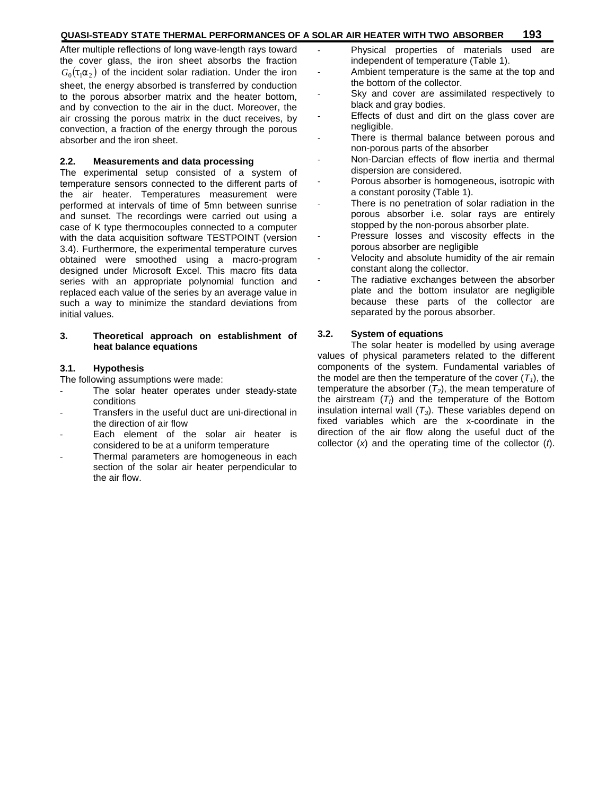# **QUASI-STEADY STATE THERMAL PERFORMANCES OF A SOLAR AIR HEATER WITH TWO ABSORBER 193**

After multiple reflections of long wave-length rays toward the cover glass, the iron sheet absorbs the fraction  $G_0(t_1 r_2)$  of the incident solar radiation. Under the iron sheet, the energy absorbed is transferred by conduction to the porous absorber matrix and the heater bottom, and by convection to the air in the duct. Moreover, the air crossing the porous matrix in the duct receives, by convection, a fraction of the energy through the porous absorber and the iron sheet.

#### **2.2. Measurements and data processing**

The experimental setup consisted of a system of temperature sensors connected to the different parts of the air heater. Temperatures measurement were performed at intervals of time of 5mn between sunrise and sunset. The recordings were carried out using a case of K type thermocouples connected to a computer with the data acquisition software TESTPOINT (version 3.4). Furthermore, the experimental temperature curves obtained were smoothed using a macro-program designed under Microsoft Excel. This macro fits data series with an appropriate polynomial function and replaced each value of the series by an average value in such a way to minimize the standard deviations from initial values.

# **3. Theoretical approach on establishment of heat balance equations**

### **3.1. Hypothesis**

The following assumptions were made:

- The solar heater operates under steady-state conditions
- Transfers in the useful duct are uni-directional in the direction of air flow
- Each element of the solar air heater is considered to be at a uniform temperature
- Thermal parameters are homogeneous in each section of the solar air heater perpendicular to the air flow.
- Physical properties of materials used are independent of temperature (Table 1).
- Ambient temperature is the same at the top and the bottom of the collector.
- Sky and cover are assimilated respectively to black and gray bodies.
- Effects of dust and dirt on the glass cover are negligible.
- There is thermal balance between porous and non-porous parts of the absorber
- Non-Darcian effects of flow inertia and thermal dispersion are considered.
- Porous absorber is homogeneous, isotropic with a constant porosity (Table 1).
- There is no penetration of solar radiation in the porous absorber i.e. solar rays are entirely stopped by the non-porous absorber plate.
- Pressure losses and viscosity effects in the porous absorber are negligible
- Velocity and absolute humidity of the air remain constant along the collector.
- The radiative exchanges between the absorber plate and the bottom insulator are negligible because these parts of the collector are separated by the porous absorber.

### **3.2. System of equations**

The solar heater is modelled by using average values of physical parameters related to the different components of the system. Fundamental variables of the model are then the temperature of the cover  $(T_1)$ , the temperature the absorber  $(T_2)$ , the mean temperature of the airstream (*Tf*) and the temperature of the Bottom insulation internal wall (*T3*). These variables depend on fixed variables which are the x-coordinate in the direction of the air flow along the useful duct of the collector (*x*) and the operating time of the collector (*t*).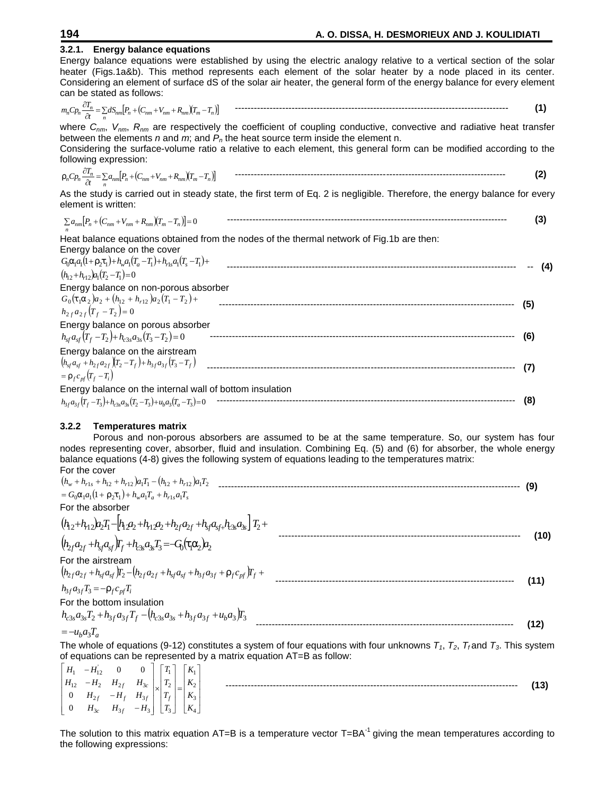| 3.2.1. Energy balance equations                                                                                                                                                                                            |     |
|----------------------------------------------------------------------------------------------------------------------------------------------------------------------------------------------------------------------------|-----|
| Energy balance equations were established by using the electric analogy relative to a vertical section of the solar                                                                                                        |     |
| heater (Figs.1a&b). This method represents each element of the solar heater by a node placed in its center.                                                                                                                |     |
| Considering an element of surface dS of the solar air heater, the general form of the energy balance for every element                                                                                                     |     |
| can be stated as follows:                                                                                                                                                                                                  |     |
|                                                                                                                                                                                                                            | (1) |
| where $C_{nm}$ , $V_{nm}$ , $R_{nm}$ are respectively the coefficient of coupling conductive, convective and radiative heat transfer<br>between the elements n and m; and $P_n$ the heat source term inside the element n. |     |
| Considering the surface-volume ratio a relative to each element, this general form can be modified according to the                                                                                                        |     |
| following expression:                                                                                                                                                                                                      |     |
| $\ldots {}_{n}C p_{n} \frac{\partial T_{n}}{\partial t} = \sum_{n} a_{nm} \Big[ P_{n} + \big(C_{nm} + V_{nm} + R_{nm} \big) \big(T_{m} - T_{n}\big) \Big]$                                                                 | (2) |
| As the study is carried out in steady state, the first term of Eq. 2 is negligible. Therefore, the energy balance for every<br>element is written:                                                                         |     |
| $\sum a_{nm} [P_n + (C_{nm} + V_{nm} + R_{nm})(T_m - T_n)] = 0$                                                                                                                                                            | (3) |
| Heat balance equations obtained from the nodes of the thermal network of Fig.1b are then:                                                                                                                                  |     |
| Energy balance on the cover                                                                                                                                                                                                |     |
| $G_0\Gamma_1a_1(1+\ldots_2t_1)+h_wa_1(T_a-T_1)+h_{r1s}a_1(T_s-T_1)+$                                                                                                                                                       | (4) |
| $(h_{12}+h_{12})a_1(T_2-T_1)=0$                                                                                                                                                                                            |     |
| Energy balance on non-porous absorber                                                                                                                                                                                      |     |
| $G_0(\mathbf{t}_1 \mathbf{r}_2) a_2 + (h_{12} + h_{r12}) a_2 (T_1 - T_2) +$                                                                                                                                                |     |
| $h_{2f}a_{2f}(T_f-T_2)=0$                                                                                                                                                                                                  | (5) |
| Energy balance on porous absorber                                                                                                                                                                                          |     |
| $h_{sf}a_{sf}(T_f-T_2)+h_{c3s}a_{3s}(T_3-T_2)=0$                                                                                                                                                                           | (6) |
| Energy balance on the airstream                                                                                                                                                                                            |     |
|                                                                                                                                                                                                                            |     |
| $=  {}_{f}c_{pf}(T_{f}-T_{i})$                                                                                                                                                                                             | (7) |
|                                                                                                                                                                                                                            |     |
|                                                                                                                                                                                                                            | (8) |
|                                                                                                                                                                                                                            |     |

# **3.2.2 Temperatures matrix**

Porous and non-porous absorbers are assumed to be at the same temperature. So, our system has four nodes representing cover, absorber, fluid and insulation. Combining Eq. (5) and (6) for absorber, the whole energy balance equations (4-8) gives the following system of equations leading to the temperatures matrix: For the cover

| $(h_w + h_{r1s} + h_{12} + h_{r12})a_1T_1 - (h_{12} + h_{r12})a_1T_2$                                    | (9)  |
|----------------------------------------------------------------------------------------------------------|------|
| $=G_0\Gamma_1a_1(1++1) + h_w a_1T_a + h_{r1}a_1T_s$                                                      |      |
| For the absorber                                                                                         |      |
| $(h_{12}+h_{12})a_2T_1-[h_{12}a_2+h_{12}a_2+h_{21}a_{21}+h_{31}a_{31}h_{33}a_{33}+T_2+$                  |      |
| $(h_{2f}a_{2f}+h_{sf}a_{sf})\mathbf{r}_{f}+h_{3f}a_{3f}a_{3f}=-G_{0}(\mathbf{t}_{1}\mathbf{r}_{2})a_{2}$ | (10) |
| For the airstream                                                                                        |      |
| $(h_{2f}a_{2f}+h_{sf}a_{sf})T_2-(h_{2f}a_{2f}+h_{sf}a_{sf}+h_{3f}a_{3f}++h_{sf}C_{pf})T_f$               | (11) |
| $h_{3f}a_{3f}T_3 = -\ldots + c_{pf}T_i$                                                                  |      |
| For the bottom insulation                                                                                |      |
| $h_{c3s}a_{3s}T_2 + h_{3f}a_{3f}T_f - (h_{c3s}a_{3s} + h_{3f}a_{3f} + u_b a_3)T_3$                       |      |
| $=-u_b a_3 T_a$                                                                                          | (12) |

$$
=-u_b a_3 T_a
$$

The whole of equations (9-12) constitutes a system of four equations with four unknowns  $T_1$ ,  $T_2$ ,  $T_f$  and  $T_3$ . This system of equations can be represented by a matrix equation AT=B as follow:

| $H_1$ $-H_{12}$ 0 0 $T_1$ $K_1$                                 |  |              |                |      |
|-----------------------------------------------------------------|--|--------------|----------------|------|
| $\begin{vmatrix} H_{12} & -H_2 & H_{2f} & H_{3c} \end{vmatrix}$ |  |              | $K_{2}$<br>$=$ | (13) |
| $\begin{vmatrix} 0 & H_{2f} & -H_f & H_{3f} \end{vmatrix}$      |  | $\mathbf{r}$ | $K_2$          |      |
| $\begin{vmatrix} 0 & H_{3c} & H_{3f} & -H_3 \end{vmatrix}$      |  | $ T_3 $      | $K_{4}$        |      |

The solution to this matrix equation  $AT=B$  is a temperature vector  $T=BA^{-1}$  giving the mean temperatures according to the following expressions: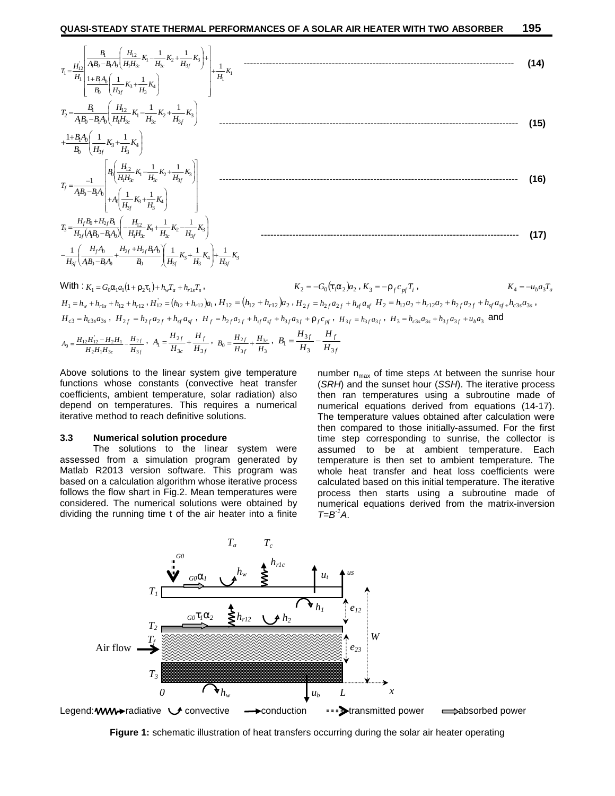| $T_1 = \frac{H_{12}^{'}}{H_1} \left  \frac{\frac{B_1}{A_1B_0 - B_1A_0} \left(\frac{H_{12}}{H_1H_{3c}}K_1 - \frac{1}{H_{3c}}K_2 + \frac{1}{H_{3f}}K_3\right) + \frac{1}{H_1}K_1}{\frac{1+B_1A_0}{B_0} \left(\frac{1}{H_{3f}}K_3 + \frac{1}{H_3}K_4\right)} \right  + \frac{1}{H_1}K_1$ | (14) |
|---------------------------------------------------------------------------------------------------------------------------------------------------------------------------------------------------------------------------------------------------------------------------------------|------|
| $T_2 = \frac{B_1}{A_1B_0 - B_1A_0} \left( \frac{H_{12}}{H_1H_{3c}} K_1 - \frac{1}{H_{3c}} K_2 + \frac{1}{H_{3f}} K_3 \right)$                                                                                                                                                         | (15) |
| $+\frac{1+B_1A_0}{B_0}\left(\frac{1}{H_{2f}}K_3+\frac{1}{H_2}K_4\right)$                                                                                                                                                                                                              |      |
| $T_f=\!\!\frac{-1}{A_1B_0-B_1A_0}\!\!\left[\!\!\begin{array}{c} \!\!\!\!B_0\!\!\left(\! \frac{H_{12}}{H_1\!H_{3c}}K_1\!-\!\!\frac{1}{H_{3c}}K_2\!+\!\frac{1}{H_{3f}}K_3\right)\\ +A_0\!\!\left(\!\frac{1}{H_{3f}}K_3\!+\!\frac{1}{H_3}K_4\right) \end{array}\!\!\!\right]$            | (16) |
| $T_3 = \frac{H_f B_0 + H_{2f} B_1}{H_{2f}(AB_0 - BA_0)} \left[ -\frac{H_{12}}{H_1 H_{2c}} K_1 + \frac{1}{H_{2c}} K_2 - \frac{1}{H_{3f}} K_3 \right]$                                                                                                                                  | (17) |
| $-\frac{1}{H_{3f}}\left(\frac{H_fA_0}{AB_0 - BA_1} + \frac{H_{2f} + H_{2f}B_1A_0}{B_0}\right)\frac{1}{H_{3f}}K_3 + \frac{1}{H_3}K_4\right) + \frac{1}{H_{3f}}K_3$                                                                                                                     |      |

With: 
$$
K_1 = G_0 \Gamma_1 a_1 (1 + ..._2 1) + h_w T_a + h_{r1s} T_s
$$
,  
\n $K_2 = -G_0 (1 + \Gamma_2) a_2$ ,  $K_3 = -..._f c_{pf} T_i$ ,  
\n $K_4 = -u_b a_3 T_a$   
\n $H_1 = h_w + h_{r1s} + h_{r12} + h_{r12}$ ,  $H_{12} = (h_{12} + h_{r12}) a_1$ ,  $H_{12} = (h_{12} + h_{r12}) a_2$ ,  $H_{2f} = h_{2f} a_{2f} + h_{sf} a_{sf}$   $H_2 = h_{12} a_2 + h_{r12} a_2 + h_{2f} a_{2f} + h_{sf} a_{sf} + h_{cs} a_{sf}$ ,  
\n $H_{c3} = h_{c3s} a_{3s}$ ,  $H_{2f} = h_{2f} a_{2f} + h_{sf} a_{sf}$ ,  $H_f = h_{2f} a_{2f} + h_{sf} a_{sf} + h_{3f} a_{sf} + ..._f c_{pf}$ ,  $H_{3f} = h_{3f} a_{3f}$ ,  $H_3 = h_{c3s} a_{3s} + h_{3f} a_{3f} + u_b a_3$  and  
\n $A_0 = \frac{H_{12} H_{12} - H_{2} H_1}{H_{22} H_1 H_{3c}} - \frac{H_{2f}}{H_{3f}}$ ,  $A_1 = \frac{H_{2f}}{H_{3c}} + \frac{H_f}{H_{3f}}$ ,  $B_0 = \frac{H_{2f}}{H_{3f}} + \frac{H_{3c}}{H_{3f}}$ ,  $B_1 = \frac{H_{3f}}{H_3} - \frac{H_f}{H_{3f}}$ 

Above solutions to the linear system give temperature functions whose constants (convective heat transfer coefficients, ambient temperature, solar radiation) also depend on temperatures. This requires a numerical iterative method to reach definitive solutions.

#### **3.3 Numerical solution procedure**

The solutions to the linear system were assessed from a simulation program generated by Matlab R2013 version software. This program was based on a calculation algorithm whose iterative process follows the flow shart in Fig.2. Mean temperatures were considered. The numerical solutions were obtained by dividing the running time t of the air heater into a finite

number  $n_{max}$  of time steps  $\Delta t$  between the sunrise hour (*SRH*) and the sunset hour (*SSH*). The iterative process then ran temperatures using a subroutine made of numerical equations derived from equations (14-17). The temperature values obtained after calculation were then compared to those initially-assumed. For the first time step corresponding to sunrise, the collector is assumed to be at ambient temperature. Each temperature is then set to ambient temperature. The whole heat transfer and heat loss coefficients were calculated based on this initial temperature. The iterative process then starts using a subroutine made of numerical equations derived from the matrix-inversion  $T=B^{-1}A$ .



**Figure 1:** schematic illustration of heat transfers occurring during the solar air heater operating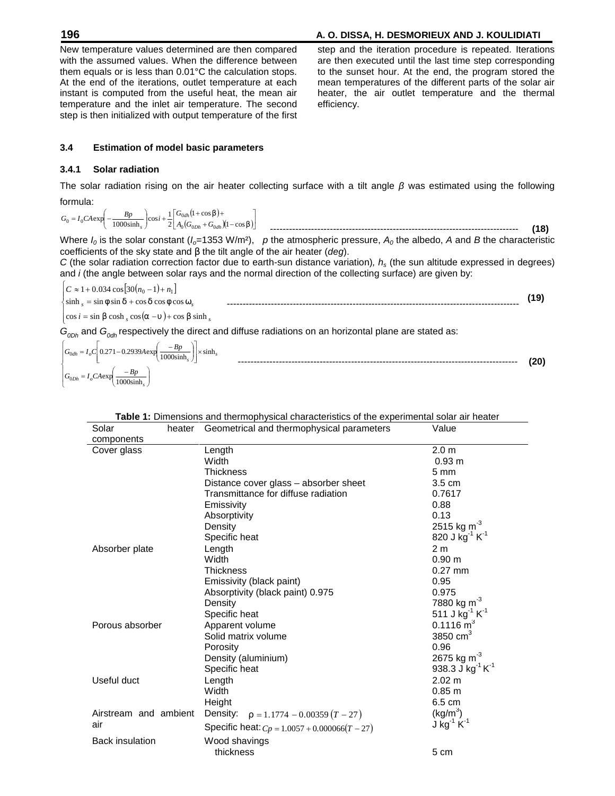# **196 A. O. DISSA, H. DESMORIEUX AND J. KOULIDIATI**

New temperature values determined are then compared with the assumed values. When the difference between them equals or is less than 0.01°C the calculation stops. At the end of the iterations, outlet temperature at each instant is computed from the useful heat, the mean air temperature and the inlet air temperature. The second step is then initialized with output temperature of the first step and the iteration procedure is repeated. Iterations are then executed until the last time step corresponding to the sunset hour. At the end, the program stored the mean temperatures of the different parts of the solar air heater, the air outlet temperature and the thermal efficiency.

# **3.4 Estimation of model basic parameters**

#### **3.4.1 Solar radiation**

The solar radiation rising on the air heater collecting surface with a tilt angle was estimated using the following formula:

$$
G_0 = I_0 C A \exp\left(-\frac{Bp}{1000 \sinh s}\right) \cos i + \frac{1}{2} \left[\frac{G_{0dh} (1 + \cos s) + G_{0dh} (1 - \cos s)}{A_0 (G_{0ph} + G_{0dh} (1 - \cos s))}\right]
$$

Where  $I_0$  is the solar constant ( $I_0$ =1353 W/m<sup>2</sup>), p the atmospheric pressure,  $A_0$  the albedo, A and B the characteristic coefficients of the sky state and s the tilt angle of the air heater (*deg*).

*C* (the solar radiation correction factor due to earth-sun distance variation)*, h<sup>s</sup>* (the sun altitude expressed in degrees) and *i* (the angle between solar rays and the normal direction of the collecting surface) are given by:

$$
\begin{cases}\nC \approx 1 + 0.034 \cos[30(n_0 - 1) + n_1] \\
\sinh_s = \sin w \sin u + \cos u \cos w \cos \tilde{S}_s \\
\cos i = \sin S \cosh_s \cos(r - \tilde{r}) + \cos S \sinh_s\n\end{cases}
$$
\n(19)

*G*<sub>0Dh</sub> and *G*<sub>0dh</sub> respectively the direct and diffuse radiations on an horizontal plane are stated as:

$$
\begin{bmatrix}\nG_{0d h} = I_o C \left[ 0.271 - 0.2939 A \exp \left( \frac{-B p}{1000 \sinh_s} \right) \right] \times \sinh_s \\
G_{0D h} = I_o C A \exp \left( \frac{-B p}{1000 \sinh_s} \right)\n\end{bmatrix}
$$

| Table 1: Dimensions and thermophysical characteristics of the experimental solar air heater |
|---------------------------------------------------------------------------------------------|
|---------------------------------------------------------------------------------------------|

| Solar                  | heater | Geometrical and thermophysical parameters        | Value                                  |
|------------------------|--------|--------------------------------------------------|----------------------------------------|
| components             |        |                                                  |                                        |
| Cover glass            |        | Length                                           | 2.0 <sub>m</sub>                       |
|                        |        | Width                                            | 0.93 m                                 |
|                        |        | Thickness                                        | $5 \text{ mm}$                         |
|                        |        | Distance cover glass – absorber sheet            | $3.5 \text{ cm}$                       |
|                        |        | Transmittance for diffuse radiation              | 0.7617                                 |
|                        |        | Emissivity                                       | 0.88                                   |
|                        |        | Absorptivity                                     | 0.13                                   |
|                        |        | Density                                          | 2515 kg $m^{-3}$                       |
|                        |        | Specific heat                                    | 820 J $kg^{-1} K^{-1}$                 |
| Absorber plate         |        | Length                                           | 2 <sub>m</sub>                         |
|                        |        | Width                                            | 0.90 <sub>m</sub>                      |
|                        |        | <b>Thickness</b>                                 | $0.27$ mm                              |
|                        |        | Emissivity (black paint)                         | 0.95                                   |
|                        |        | Absorptivity (black paint) 0.975                 | 0.975                                  |
|                        |        | Density                                          | 7880 kg m <sup>-3</sup>                |
|                        |        | Specific heat                                    | 511 J kg <sup>-1</sup> K <sup>-1</sup> |
| Porous absorber        |        | Apparent volume                                  | $0.1116 \text{ m}^3$                   |
|                        |        | Solid matrix volume                              | 3850 $cm3$                             |
|                        |        | Porosity                                         | 0.96                                   |
|                        |        | Density (aluminium)                              | 2675 kg m <sup>-3</sup>                |
|                        |        | Specific heat                                    | 938.3 J kg $^{-1}$ K $^{-1}$           |
| Useful duct            |        | Length                                           | $2.02 \text{ m}$                       |
|                        |        | Width                                            | 0.85 m                                 |
|                        |        | Height                                           | 6.5 cm                                 |
| Airstream and ambient  |        | Density: $\ldots = 1.1774 - 0.00359 (T - 27)$    | $(kg/m^3)$                             |
| air                    |        | Specific heat: $C_p = 1.0057 + 0.000066(T - 27)$ | J kg $^{-1}$ K $^{-1}$                 |
| <b>Back insulation</b> |        | Wood shavings                                    |                                        |
|                        |        | thickness                                        | 5 cm                                   |
|                        |        |                                                  |                                        |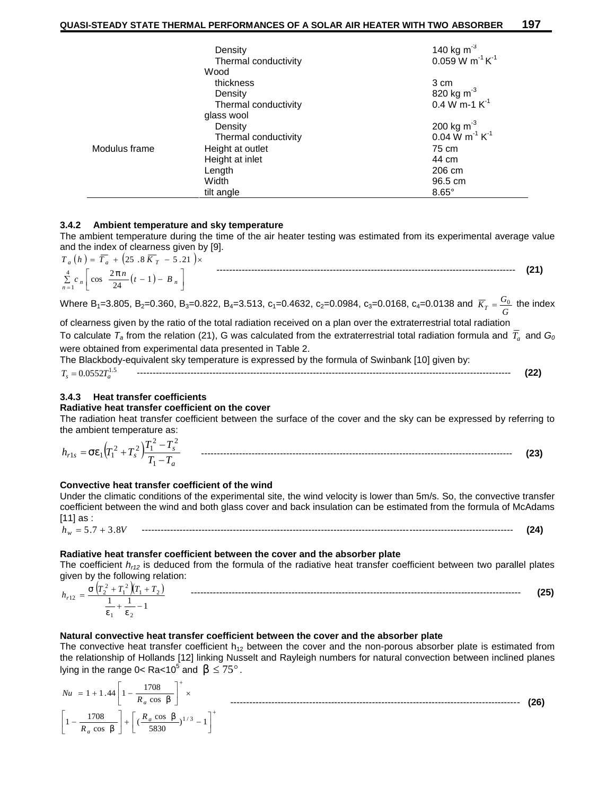|               | Density              | 140 kg m <sup>-3</sup><br>0.059 W m <sup>-1</sup> K <sup>-1</sup> |
|---------------|----------------------|-------------------------------------------------------------------|
|               | Thermal conductivity |                                                                   |
|               | Wood                 |                                                                   |
|               | thickness            | 3 cm                                                              |
|               | Density              | 820 kg $m^3$                                                      |
|               | Thermal conductivity | $0.4 W m - 1 K^{-1}$                                              |
|               | glass wool           |                                                                   |
|               | Density              | 200 kg m <sup>-3</sup><br>0.04 W m <sup>-1</sup> K <sup>-1</sup>  |
|               | Thermal conductivity |                                                                   |
| Modulus frame | Height at outlet     | 75 cm                                                             |
|               | Height at inlet      | 44 cm                                                             |
|               | Length               | 206 cm                                                            |
|               | Width                | 96.5 cm                                                           |
|               | tilt angle           | $8.65^\circ$                                                      |

#### **3.4.2 Ambient temperature and sky temperature**

The ambient temperature during the time of the air heater testing was estimated from its experimental average value and the index of clearness given by [9].

$$
T_a(h) = \overline{T}_a + (25.8 \overline{K}_T - 5.21) \times \underbrace{\sum_{n=1}^{4} c_n \left[ \cos \frac{2fn}{24} (t-1) - B_n \right]}
$$

Where B<sub>1</sub>=3.805, B<sub>2</sub>=0.360, B<sub>3</sub>=0.822, B<sub>4</sub>=3.513, c<sub>1</sub>=0.4632, c<sub>2</sub>=0.0984, c<sub>3</sub>=0.0168, c<sub>4</sub>=0.0138 and  $\overline{K}_T=\frac{{\sf o}_0}{G}$  the index  $\overline{K}_T = \frac{G_0}{G}$  the index

of clearness given by the ratio of the total radiation received on a plan over the extraterrestrial total radiation To calculate  $\mathcal{T}_a$  from the relation (21), G was calculated from the extraterrestrial total radiation formula and  $\mathcal{T}_a$  and  $\mathcal{G}_0$ were obtained from experimental data presented in Table 2. The Blackbody-equivalent sky temperature is expressed by the formula of Swinbank [10] given by:

$$
T_s = 0.0552 T_a^{1.5}
$$

# **3.4.3 Heat transfer coefficients**

#### **Radiative heat transfer coefficient on the cover**

The radiation heat transfer coefficient between the surface of the cover and the sky can be expressed by referring to the ambient temperature as:

 *a s <sup>r</sup> <sup>s</sup> <sup>s</sup> T T T T h T T* 1 2 2 2 2 1 <sup>1</sup> <sup>1</sup> <sup>1</sup> --------------------------------------------------------------------------------------------------- **(23)**

#### **Convective heat transfer coefficient of the wind**

Under the climatic conditions of the experimental site, the wind velocity is lower than 5m/s. So, the convective transfer coefficient between the wind and both glass cover and back insulation can be estimated from the formula of McAdams [11] as :

*h<sup>w</sup>* 5.7 3.8*V* ---------------------------------------------------------------------------------------------------------------------- **(24)**

#### **Radiative heat transfer coefficient between the cover and the absorber plate**

The coefficient *hr12* is deduced from the formula of the radiative heat transfer coefficient between two parallel plates given by the following relation:

$$
h_{r12} = \frac{f\left(T_2^2 + T_1^2\right)\left(T_1 + T_2\right)}{\frac{1}{V_1} + \frac{1}{V_2} - 1}
$$

# **Natural convective heat transfer coefficient between the cover and the absorber plate**

The convective heat transfer coefficient  $h_{12}$  between the cover and the non-porous absorber plate is estimated from the relationship of Hollands [12] linking Nusselt and Rayleigh numbers for natural convection between inclined planes lying in the range 0< Ra<10<sup>5</sup> and  $S \le 75^\circ$ .

$$
Nu = 1 + 1.44 \left[ 1 - \frac{1708}{R_a \cos 5} \right]^+ \times \qquad \qquad 1708
$$
\n
$$
\left[ 1 - \frac{1708}{R_a \cos 5} \right] + \left[ \left( \frac{R_a \cos 5}{5830} \right)^{1/3} - 1 \right]^+
$$
\n(26)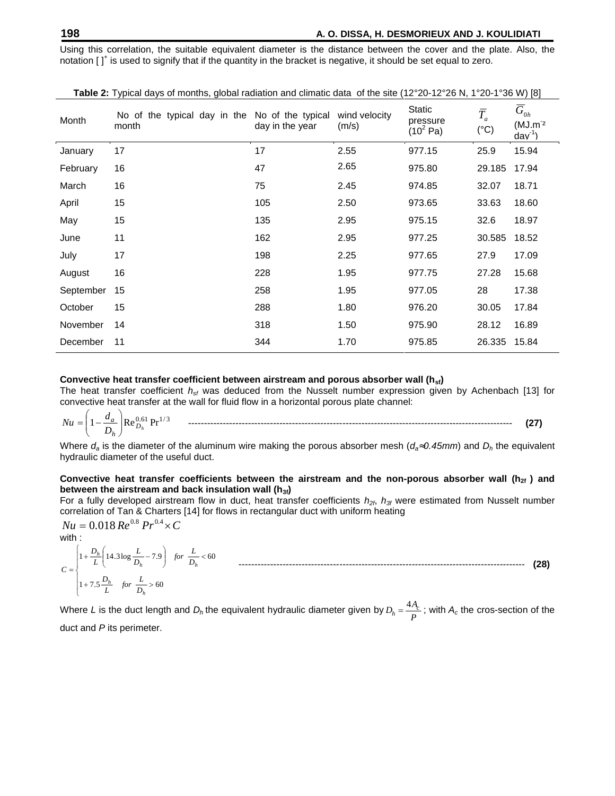Using this correlation, the suitable equivalent diameter is the distance between the cover and the plate. Also, the notation [ ] $^\dagger$  is used to signify that if the quantity in the bracket is negative, it should be set equal to zero.

| Month     | No of the typical day in the No of the typical<br>month | day in the year | wind velocity<br>(m/s) | Static<br>pressure<br>$(10^2 \text{ Pa})$ | $\bar{T}_a$<br>$(^{\circ}C)$ | $\overline{G}_{0h}$<br>$(MJ.m-2)$<br>$\frac{1}{2}$ dav <sup>-1</sup> ) |
|-----------|---------------------------------------------------------|-----------------|------------------------|-------------------------------------------|------------------------------|------------------------------------------------------------------------|
| January   | 17                                                      | 17              | 2.55                   | 977.15                                    | 25.9                         | 15.94                                                                  |
| February  | 16                                                      | 47              | 2.65                   | 975.80                                    | 29.185                       | 17.94                                                                  |
| March     | 16                                                      | 75              | 2.45                   | 974.85                                    | 32.07                        | 18.71                                                                  |
| April     | 15                                                      | 105             | 2.50                   | 973.65                                    | 33.63                        | 18.60                                                                  |
| May       | 15                                                      | 135             | 2.95                   | 975.15                                    | 32.6                         | 18.97                                                                  |
| June      | 11                                                      | 162             | 2.95                   | 977.25                                    | 30.585                       | 18.52                                                                  |
| July      | 17                                                      | 198             | 2.25                   | 977.65                                    | 27.9                         | 17.09                                                                  |
| August    | 16                                                      | 228             | 1.95                   | 977.75                                    | 27.28                        | 15.68                                                                  |
| September | 15                                                      | 258             | 1.95                   | 977.05                                    | 28                           | 17.38                                                                  |
| October   | 15                                                      | 288             | 1.80                   | 976.20                                    | 30.05                        | 17.84                                                                  |
| November  | 14                                                      | 318             | 1.50                   | 975.90                                    | 28.12                        | 16.89                                                                  |
| December  | 11                                                      | 344             | 1.70                   | 975.85                                    | 26.335                       | 15.84                                                                  |

**Table 2:** Typical days of months, global radiation and climatic data of the site (12°20-12°26 N, 1°20-1°36 W) [8]

#### **Convective heat transfer coefficient between airstream and porous absorber wall (hsf)**

The heat transfer coefficient *hsf* was deduced from the Nusselt number expression given by Achenbach [13] for convective heat transfer at the wall for fluid flow in a horizontal porous plate channel:

0.61 1/ <sup>3</sup> <sup>1</sup> Re Pr *<sup>D</sup><sup>h</sup> <sup>h</sup> a D <sup>d</sup> Nu* ------------------------------------------------------------------------------------------------------- **(27)**

Where  $d_a$  is the diameter of the aluminum wire making the porous absorber mesh ( $d_a\tilde{0}0.45$ *mm*) and  $D_h$  the equivalent hydraulic diameter of the useful duct.

#### **Convective heat transfer coefficients between the airstream and the non-porous absorber wall (h2f ) and between the airstream and back insulation wall (h3f)**

For a fully developed airstream flow in duct, heat transfer coefficients *h2f*, *h3f* were estimated from Nusselt number correlation of Tan & Charters [14] for flows in rectangular duct with uniform heating

 $Nu = 0.018 Re^{0.8} Pr^{0.4} \times C$ with :

 $\left[1+7.5\frac{h}{L}\right]$  for  $\frac{h}{D_h} > 60$  $L \left( \begin{array}{cc} & D_h \end{array} \right)$   $D_h$   $1 + 7.5 \frac{D_h}{L}$  *for*  $\frac{L}{D_h} > 60$  $\begin{array}{ccc} \n\end{array}$   $\begin{array}{ccc} L & \n\end{array}$  $\left[14.3\log\frac{D_h}{D_h} - 1.9\right]$  for  $\frac{D_h}{D_h} < 60$  $+\frac{D_h}{2}$  14.3 log  $\frac{L}{2}$  – 7.9 for  $\frac{L}{2}$  < 60  $=\left\{\begin{array}{ccccccccc} & & & & & & n & & & & & & n \end{array}\right.$ 1 14.3log 7.9 60 *h h h*  $\frac{h}{h}$   $\left[14.3 \log \frac{L}{D_h} - 7.9\right]$  for  $\frac{L}{D_h} < 60$  **continuous continuous continuous continuous continuous continuous continuous continuous continuous continuous continuous continuous continuous continuous continuou** *D*  $\left(\frac{L}{D_h} - 7.9\right)$  *for*  $\frac{L}{D_h} < 60$  **contain the continuum of the contract of the contract of the contract of the contract of the contract of the contract of the contract of the contract of the contract of the contr**  $L \left( \begin{array}{ccc} & \circ & D_h & \cdot & \cdot \\ & & D_h & \cdot & \cdot \end{array} \right)$   $D_h$  ----------- $D_h\begin{pmatrix} 1 & 0 \\ 0 & 1 \end{pmatrix}$   $L = 20$ *C* ------------------------------------------------------------------------------------------- **(28)**

Where *L* is the duct length and  $D_h$  the equivalent hydraulic diameter given by  $D_h = \frac{4A_c}{P}$  ; with  $A_c$  the cros-section of the duct and *P* its perimeter.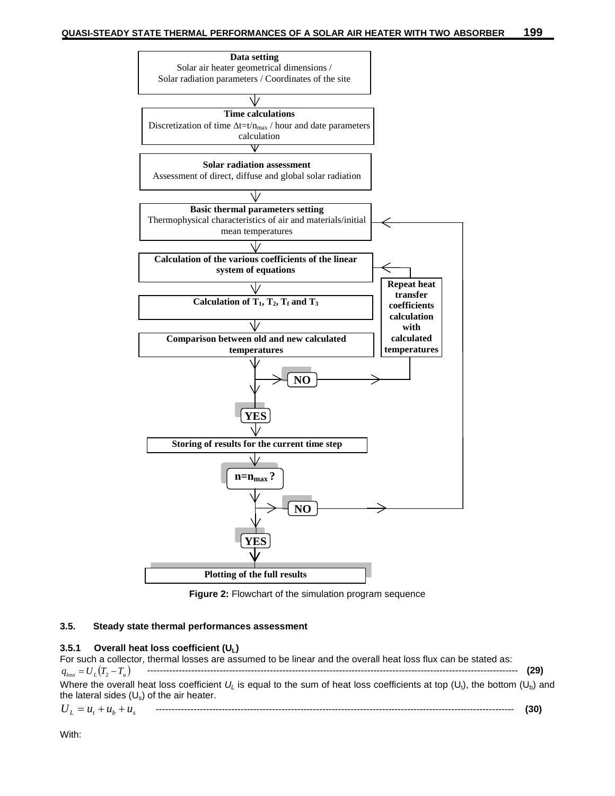

**Figure 2:** Flowchart of the simulation program sequence

#### **3.5. Steady state thermal performances assessment**

## **3.5.1 Overall heat loss coefficient (UL)**

For such a collector, thermal losses are assumed to be linear and the overall heat loss flux can be stated as: *loss U<sup>L</sup> T T<sup>a</sup> q* <sup>2</sup> ---------------------------------------------------------------------------------------------------------------------- **(29)** Where the overall heat loss coefficient  $U_L$  is equal to the sum of heat loss coefficients at top ( $U_t$ ), the bottom ( $U_b$ ) and the lateral sides  $(U_s)$  of the air heater.

$$
U_L = u_t + u_b + u_s \qquad \qquad \qquad (30)
$$

With: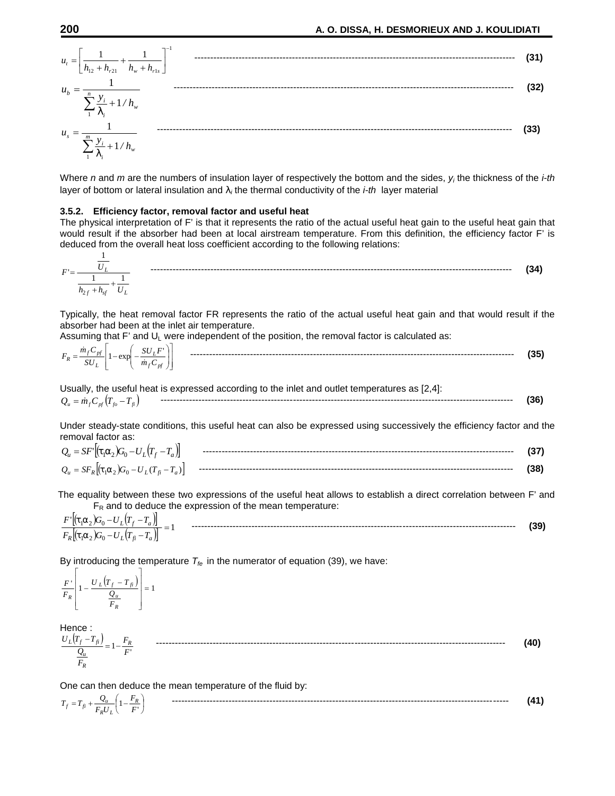$$
u_{t} = \left[\frac{1}{h_{12} + h_{r21}} + \frac{1}{h_{w} + h_{r1s}}\right]^{-1}
$$
\n
$$
u_{b} = \frac{1}{\sum_{i=1}^{n} \frac{y_{i}}{y_{i}} + 1/h_{w}}
$$
\n
$$
u_{s} = \frac{1}{\sum_{i=1}^{m} \frac{y_{i}}{y_{i}} + 1/h_{w}}
$$
\n(33)

Where *n* and *m* are the numbers of insulation layer of respectively the bottom and the sides, *y<sup>i</sup>* the thickness of the *i-th* layer of bottom or lateral insulation and  $\}$ ; the thermal conductivity of the *i-th* layer material

#### **3.5.2. Efficiency factor, removal factor and useful heat**

The physical interpretation of F' is that it represents the ratio of the actual useful heat gain to the useful heat gain that would result if the absorber had been at local airstream temperature. From this definition, the efficiency factor F' is deduced from the overall heat loss coefficient according to the following relations:

$$
F = \frac{\frac{1}{U_L}}{\frac{1}{h_{2f} + h_{sf}} + \frac{1}{U_L}}
$$
 (34)

Typically, the heat removal factor FR represents the ratio of the actual useful heat gain and that would result if the absorber had been at the inlet air temperature.

Assuming that F' and  $U_L$  were independent of the position, the removal factor is calculated as:

| $\sim$<br>CL T<br>m<br>. .<br>υU<br>$\mathbf{r}$<br>L<br>$\sim$<br>$-$<br>◡◠◡<br>and the first<br>$\mathbf{v}$<br>$\boldsymbol{m}$<br>ມບ<br>$\sim_{nt}$ | -------------<br>--------<br>ا ت |
|---------------------------------------------------------------------------------------------------------------------------------------------------------|----------------------------------|
|---------------------------------------------------------------------------------------------------------------------------------------------------------|----------------------------------|

Usually, the useful heat is expressed according to the inlet and outlet temperatures as [2,4]: *Q<sup>u</sup> mfCpf Tfo Tfi* ---------------------------------------------------------------------------------------------------------------- **(36)**

Under steady-state conditions, this useful heat can also be expressed using successively the efficiency factor and the removal factor as:

| $\sim$<br>$\overline{\phantom{0}}$<br>$\upsilon$ .<br>∸ | --------<br>----<br>------------------------- |  |
|---------------------------------------------------------|-----------------------------------------------|--|
| $\sim$<br>$Q_u =$<br>$\overline{\phantom{a}}$           | --------<br>---------------------------       |  |

The equality between these two expressions of the useful heat allows to establish a direct correlation between F' and  $F_R$  and to deduce the expression of the mean temperature:

$$
\frac{F'[(t_1r_2)G_0 - U_L(T_f - T_a)]}{F_R[(t_1r_2)G_0 - U_L(T_f - T_a)]} = 1
$$
\n(39)

By introducing the temperature  $T_{fe}$  in the numerator of equation (39), we have:

$$
\frac{F'}{F_R}\left[1-\frac{U_L(T_f-T_{fi})}{\frac{Q_u}{F_R}}\right]=1
$$

Hence : <sup>1</sup> *F U T T <sup>R</sup>* --------------------------------------------------------------------------------------------------------------- **(40)** '*F*  $F_R$  $Q_u$   $F$   $F$ *R <sup>u</sup> <sup>L</sup> <sup>f</sup> fi*

One can then deduce the mean temperature of the fluid by:

$$
T_f = T_{fi} + \frac{Q_u}{F_R U_L} \left( 1 - \frac{F_R}{F'} \right)
$$
 (41)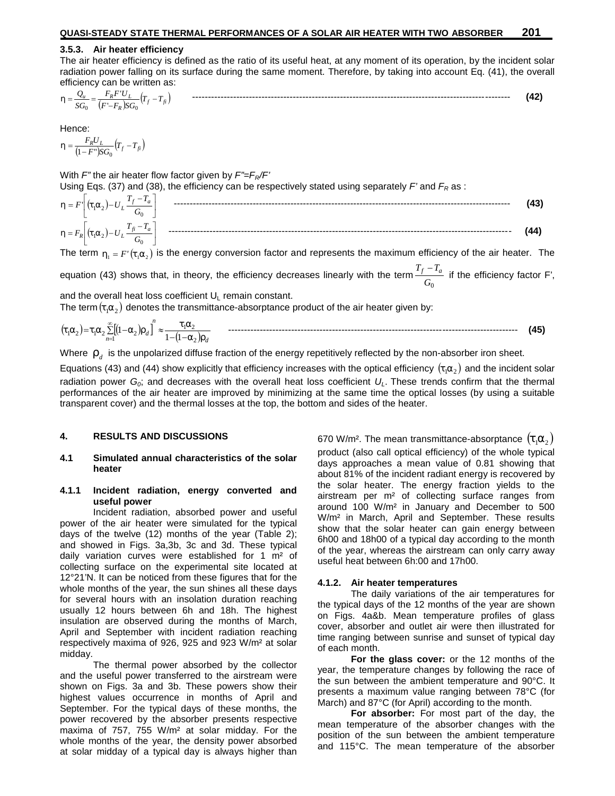#### **3.5.3. Air heater efficiency**

The air heater efficiency is defined as the ratio of its useful heat, at any moment of its operation, by the incident solar radiation power falling on its surface during the same moment. Therefore, by taking into account Eq. (41), the overall efficiency can be written as:

$$
y = \frac{Q_u}{SG_0} = \frac{F_R F' U_L}{(F' - F_R) SG_0} (T_f - T_{fi})
$$

Hence:

$$
y = \frac{F_R U_L}{(1 - F^{\prime\prime})SG_0} (T_f - T_{fi})
$$

With *F"* the air heater flow factor given by *F"=FR/F'* Using Eqs. (37) and (38), the efficiency can be respectively stated using separately *F'* and *F<sup>R</sup>* as :

$$
y = F\left[(t_1r_2) - U_L \frac{T_f - T_a}{G_0}\right]
$$
   
 (43)  
 
$$
y = F_R\left[(t_1r_2) - U_L \frac{T_f - T_a}{G_0}\right]
$$
 (44)

The term  $y_1 = F'(t_1 r_2)$  is the energy conversion factor and represents the maximum efficiency of the air heater. The

equation (43) shows that, in theory, the efficiency decreases linearly with the term $\frac{T_f-T_a}{G_0}$  if the efficiency factor F',

and the overall heat loss coefficient  $U_L$  remain constant.

The term  $(t_1 r_2)$  denotes the transmittance-absorptance product of the air heater given by:

 *<sup>d</sup> n n <sup>d</sup>* 2 1 2 1 <sup>1</sup> <sup>2</sup> <sup>1</sup> <sup>2</sup> <sup>2</sup> 1 1 <sup>1</sup> -------------------------------------------------------------------------------------------- **(45)**

Where  $\omega_d$  is the unpolarized diffuse fraction of the energy repetitively reflected by the non-absorber iron sheet.

Equations (43) and (44) show explicitly that efficiency increases with the optical efficiency  $(t_1r_2)$  and the incident solar radiation power  $G_0$ ; and decreases with the overall heat loss coefficient  $U_L$ . These trends confirm that the thermal performances of the air heater are improved by minimizing at the same time the optical losses (by using a suitable transparent cover) and the thermal losses at the top, the bottom and sides of the heater.

#### **4. RESULTS AND DISCUSSIONS**

#### **4.1 Simulated annual characteristics of the solar heater**

#### **4.1.1 Incident radiation, energy converted and useful power**

Incident radiation, absorbed power and useful power of the air heater were simulated for the typical days of the twelve (12) months of the year (Table 2); and showed in Figs. 3a,3b, 3c and 3d. These typical daily variation curves were established for 1 m<sup>2</sup> of collecting surface on the experimental site located at 12°21'N. It can be noticed from these figures that for the whole months of the year, the sun shines all these days for several hours with an insolation duration reaching usually 12 hours between 6h and 18h. The highest insulation are observed during the months of March, April and September with incident radiation reaching respectively maxima of 926, 925 and 923 W/m² at solar midday.

The thermal power absorbed by the collector and the useful power transferred to the airstream were shown on Figs. 3a and 3b. These powers show their highest values occurrence in months of April and September. For the typical days of these months, the power recovered by the absorber presents respective maxima of 757, 755 W/m² at solar midday. For the whole months of the year, the density power absorbed at solar midday of a typical day is always higher than 670 W/m<sup>2</sup>. The mean transmittance-absorptance  $(\ddagger, \ddagger, \ddagger)$ product (also call optical efficiency) of the whole typical days approaches a mean value of 0.81 showing that about 81% of the incident radiant energy is recovered by the solar heater. The energy fraction yields to the airstream per m² of collecting surface ranges from around 100 W/m² in January and December to 500 W/m² in March, April and September. These results show that the solar heater can gain energy between 6h00 and 18h00 of a typical day according to the month of the year, whereas the airstream can only carry away useful heat between 6h:00 and 17h00.

#### **4.1.2. Air heater temperatures**

The daily variations of the air temperatures for the typical days of the 12 months of the year are shown on Figs. 4a&b. Mean temperature profiles of glass cover, absorber and outlet air were then illustrated for time ranging between sunrise and sunset of typical day of each month.

**For the glass cover:** or the 12 months of the year, the temperature changes by following the race of the sun between the ambient temperature and 90°C. It presents a maximum value ranging between 78°C (for March) and 87°C (for April) according to the month.

**For absorber:** For most part of the day, the mean temperature of the absorber changes with the position of the sun between the ambient temperature and 115°C. The mean temperature of the absorber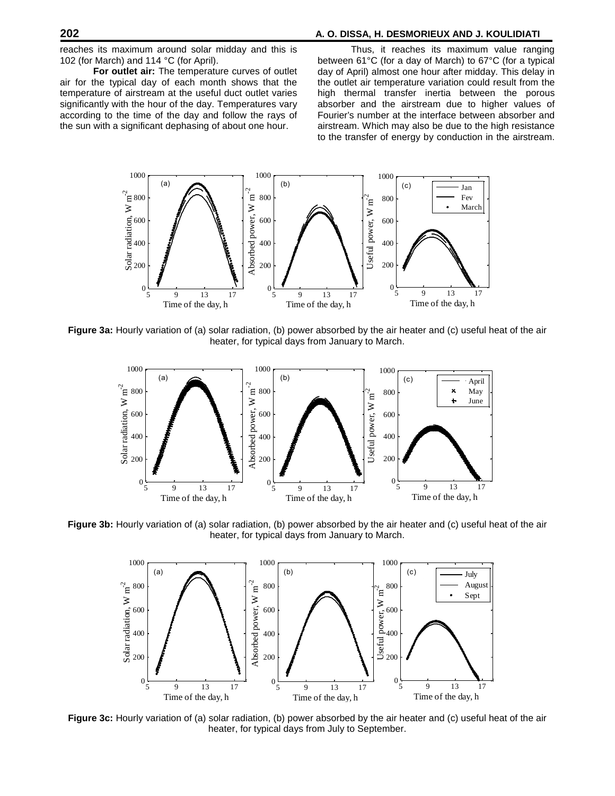# **202 A. O. DISSA, H. DESMORIEUX AND J. KOULIDIATI**

reaches its maximum around solar midday and this is 102 (for March) and 114 °C (for April).

**For outlet air:** The temperature curves of outlet air for the typical day of each month shows that the temperature of airstream at the useful duct outlet varies significantly with the hour of the day. Temperatures vary according to the time of the day and follow the rays of the sun with a significant dephasing of about one hour.

Thus, it reaches its maximum value ranging between 61°C (for a day of March) to 67°C (for a typical day of April) almost one hour after midday. This delay in the outlet air temperature variation could result from the high thermal transfer inertia between the porous absorber and the airstream due to higher values of Fourier's number at the interface between absorber and airstream. Which may also be due to the high resistance to the transfer of energy by conduction in the airstream.



**Figure 3a:** Hourly variation of (a) solar radiation, (b) power absorbed by the air heater and (c) useful heat of the air heater, for typical days from January to March.



**Figure 3b:** Hourly variation of (a) solar radiation, (b) power absorbed by the air heater and (c) useful heat of the air heater, for typical days from January to March.



**Figure 3c:** Hourly variation of (a) solar radiation, (b) power absorbed by the air heater and (c) useful heat of the air heater, for typical days from July to September.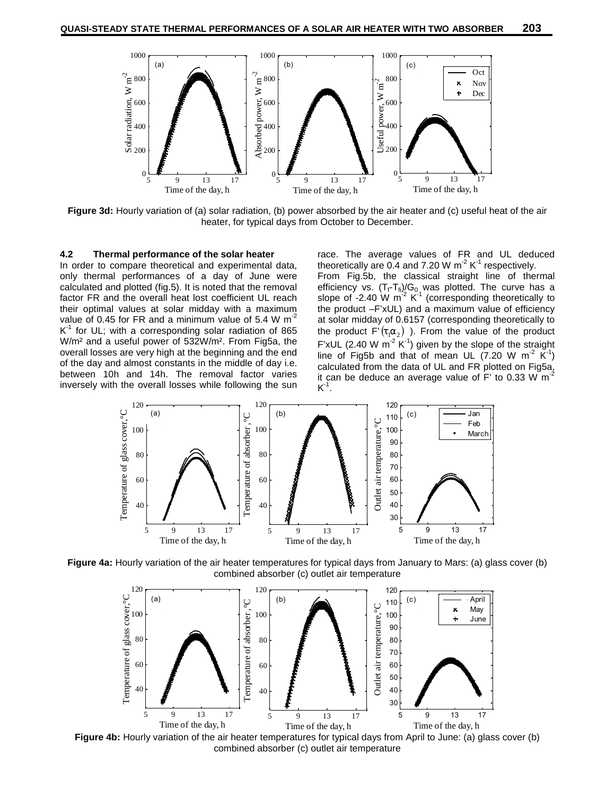

**Figure 3d:**Hourly variation of (a) solar radiation, (b) power absorbed by the air heater and (c) useful heat of the air heater, for typical days from October to December.

#### **4.2 Thermal performance of the solar heater**

In order to compare theoretical and experimental data, only thermal performances of a day of June were calculated and plotted (fig.5). It is noted that the removal factor FR and the overall heat lost coefficient UL reach their optimal values at solar midday with a maximum value of 0.45 for FR and a minimum value of 5.4 W  $m^2$  $K^1$  for UL; with a corresponding solar radiation of 865 the position W/m² and a useful power of 532W/m². From Fig5a, the overall losses are very high at the beginning and the end of the day and almost constants in the middle of day i.e. between 10h and 14h. The removal factor varies inversely with the overall losses while following the sun

race. The average values of FR and UL deduced theoretically are 0.4 and 7.20 W  $m^2 K^1$  respectively. From Fig.5b, the classical straight line of thermal efficiency vs.  $(T_f-T_f)/G_0$  was plotted. The curve has a slope of -2.40 W  $m^2 K^1$  (corresponding theoretically to the product –F'xUL) and a maximum value of efficiency at solar midday of 0.6157 (corresponding theoretically to the product F' $(t_1 r_2)$ ). From the value of the product F'xUL (2.40 W m<sup>-2</sup> K<sup>-1</sup>) given by the slope of the straight line of Fig5b and that of mean UL (7.20 W m<sup>-2</sup>  $\check{K}$ <sup>-1</sup>) ) calculated from the data of UL and FR plotted on Fig5a, it can be deduce an average value of F' to 0.33 W  $m<sup>2</sup>$  $K^1$ .



**Figure 4a:** Hourly variation of the air heater temperatures for typical days from January to Mars: (a) glass cover (b) combined absorber (c) outlet air temperature



**Figure 4b:** Hourly variation of the air heater temperatures for typical days from April to June: (a) glass cover (b) combined absorber (c) outlet air temperature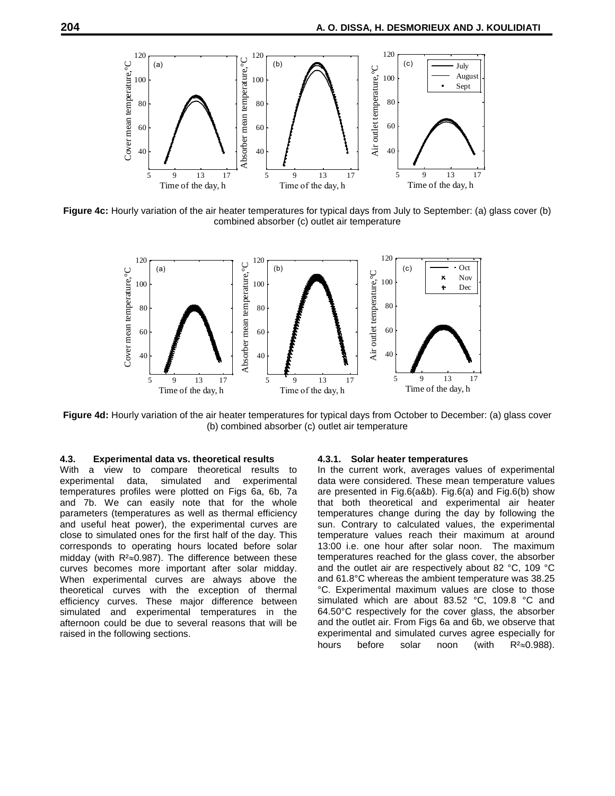

**Figure 4c:** Hourly variation of the air heater temperatures for typical days from July to September: (a) glass cover (b) combined absorber (c) outlet air temperature



**Figure 4d:** Hourly variation of the air heater temperatures for typical days from October to December: (a) glass cover (b) combined absorber (c) outlet air temperature

#### **4.3. Experimental data vs. theoretical results**

With a view to compare theoretical results to experimental data, simulated and experimental temperatures profiles were plotted on Figs 6a, 6b, 7a and 7b. We can easily note that for the whole parameters (temperatures as well as thermal efficiency and useful heat power), the experimental curves are close to simulated ones for the first half of the day. This corresponds to operating hours located before solar midday (with  $R<sup>2</sup>\approx 0.987$ ). The difference between these curves becomes more important after solar midday. When experimental curves are always above the theoretical curves with the exception of thermal efficiency curves. These major difference between simulated and experimental temperatures in the afternoon could be due to several reasons that will be raised in the following sections.

#### **4.3.1. Solar heater temperatures**

In the current work, averages values of experimental data were considered. These mean temperature values are presented in Fig.6(a&b). Fig.6(a) and Fig.6(b) show that both theoretical and experimental air heater temperatures change during the day by following the sun. Contrary to calculated values, the experimental temperature values reach their maximum at around 13:00 i.e. one hour after solar noon. The maximum temperatures reached for the glass cover, the absorber and the outlet air are respectively about 82 °C, 109 °C and 61.8°C whereas the ambient temperature was 38.25 °C. Experimental maximum values are close to those simulated which are about 83.52 °C, 109.8 °C and 64.50°C respectively for the cover glass, the absorber and the outlet air. From Figs 6a and 6b, we observe that experimental and simulated curves agree especially for hours before solar noon (with  $R^2 \approx 0.988$ ).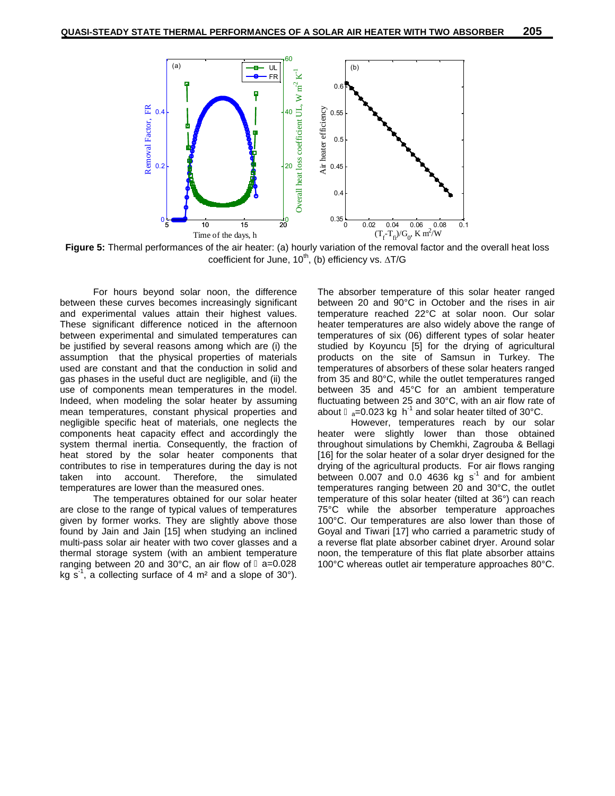

**Figure 5:** Thermal performances of the air heater: (a) hourly variation of the removal factor and the overall heat loss coefficient for June, 10<sup>th</sup>, (b) efficiency vs.  $\Delta T/G$ 

For hours beyond solar noon, the difference between these curves becomes increasingly significant and experimental values attain their highest values. These significant difference noticed in the afternoon between experimental and simulated temperatures can be justified by several reasons among which are (i) the assumption that the physical properties of materials used are constant and that the conduction in solid and gas phases in the useful duct are negligible, and (ii) the use of components mean temperatures in the model. Indeed, when modeling the solar heater by assuming mean temperatures, constant physical properties and negligible specific heat of materials, one neglects the components heat capacity effect and accordingly the system thermal inertia. Consequently, the fraction of heat stored by the solar heater components that contributes to rise in temperatures during the day is not taken into account. Therefore, the simulated temperatures are lower than the measured ones.

The temperatures obtained for our solar heater are close to the range of typical values of temperatures given by former works. They are slightly above those found by Jain and Jain [15] when studying an inclined multi-pass solar air heater with two cover glasses and a thermal storage system (with an ambient temperature ranging between 20 and  $30^{\circ}$ C, an air flow of  $a=0.028$ kg s<sup>-1</sup>, a collecting surface of 4 m<sup>2</sup> and a slope of 30°).

The absorber temperature of this solar heater ranged between 20 and 90°C in October and the rises in air temperature reached 22°C at solar noon. Our solar heater temperatures are also widely above the range of temperatures of six (06) different types of solar heater studied by Koyuncu [5] for the drying of agricultural products on the site of Samsun in Turkey. The temperatures of absorbers of these solar heaters ranged from 35 and 80°C, while the outlet temperatures ranged between 35 and 45°C for an ambient temperature fluctuating between 25 and 30°C, with an air flow rate of about  $a=0.023$  kg h<sup>-1</sup> and solar heater tilted of 30°C.

However, temperatures reach by our solar heater were slightly lower than those obtained throughout simulations by Chemkhi, Zagrouba & Bellagi [16] for the solar heater of a solar dryer designed for the drying of the agricultural products. For air flows ranging between  $0.007$  and  $0.0$  4636 kg s<sup>-1</sup> and for ambient temperatures ranging between 20 and 30°C, the outlet temperature of this solar heater (tilted at 36°) can reach 75°C while the absorber temperature approaches 100°C. Our temperatures are also lower than those of Goyal and Tiwari [17] who carried a parametric study of a reverse flat plate absorber cabinet dryer. Around solar noon, the temperature of this flat plate absorber attains 100°C whereas outlet air temperature approaches 80°C.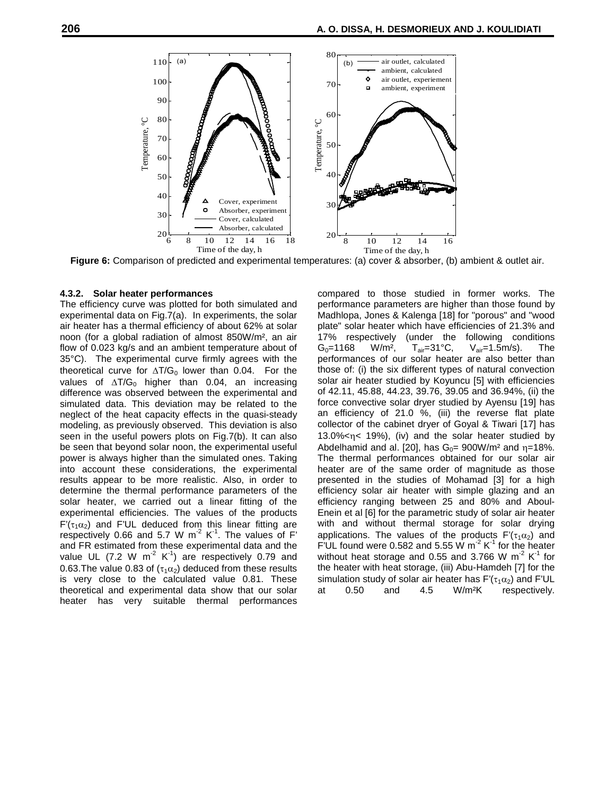

**Figure 6:** Comparison of predicted and experimental temperatures: (a) cover & absorber, (b) ambient & outlet air.

#### **4.3.2. Solar heater performances**

The efficiency curve was plotted for both simulated and experimental data on Fig.7(a). In experiments, the solar air heater has a thermal efficiency of about 62% at solar noon (for a global radiation of almost 850W/m², an air flow of 0.023 kg/s and an ambient temperature about of  $G_0 = 1168$ 35°C). The experimental curve firmly agrees with the theoretical curve for  $\Delta T/G_0$  lower than 0.04. For the values of  $\Delta T/G_0$  higher than 0.04, an increasing difference was observed between the experimental and simulated data. This deviation may be related to the neglect of the heat capacity effects in the quasi-steady modeling, as previously observed. This deviation is also seen in the useful powers plots on Fig.7(b). It can also be seen that beyond solar noon, the experimental useful power is always higher than the simulated ones. Taking into account these considerations, the experimental results appear to be more realistic. Also, in order to determine the thermal performance parameters of the solar heater, we carried out a linear fitting of the experimental efficiencies. The values of the products  $F'(\tau_1\alpha_2)$  and F'UL deduced from this linear fitting are respectively 0.66 and 5.7 W m<sup>-2</sup> K<sup>-1</sup>. The values of F' and FR estimated from these experimental data and the value UL (7.2 W m<sup>-2</sup> K<sup>-1</sup>) are respectively 0.79 and withc 0.63. The value 0.83 of ( $\tau_1\alpha_2$ ) deduced from these results is very close to the calculated value 0.81. These theoretical and experimental data show that our solar heater has very suitable thermal performances

compared to those studied in former works. The performance parameters are higher than those found by Madhlopa, Jones & Kalenga [18] for "porous" and "wood plate" solar heater which have efficiencies of 21.3% and (under the following conditions W/m<sup>2</sup>,  $T_{air}=31^{\circ}C$ ,  $V_{air}=1.5m/s$ ). The performances of our solar heater are also better than those of: (i) the six different types of natural convection solar air heater studied by Koyuncu [5] with efficiencies of 42.11, 45.88, 44.23, 39.76, 39.05 and 36.94%, (ii) the force convective solar dryer studied by Ayensu [19] has an efficiency of 21.0 %, (iii) the reverse flat plate collector of the cabinet dryer of Goyal & Tiwari [17] has 13.0%<n< 19%), (iv) and the solar heater studied by Abdelhamid and al. [20], has  $G_0 = 900W/m^2$  and  $\eta = 18\%$ . The thermal performances obtained for our solar air heater are of the same order of magnitude as those presented in the studies of Mohamad [3] for a high efficiency solar air heater with simple glazing and an efficiency ranging between 25 and 80% and Aboul- Enein et al [6] for the parametric study of solar air heater with and without thermal storage for solar drying applications. The values of the products  $F'(\tau_1\alpha_2)$  and F'UL found were 0.582 and 5.55 W m<sup>-2</sup> K<sup>-1</sup> for the heater without heat storage and 0.55 and 3.766 W m<sup>-2</sup> K<sup>-1</sup> for the heater with heat storage, (iii) Abu-Hamdeh [7] for the simulation study of solar air heater has  $F'(\tau_1 \alpha_2)$  and F'UL at 0.50 and 4.5 W/m<sup>2</sup>K respectively. 0.50 and 4.5 W/m<sup>2</sup>K respectively.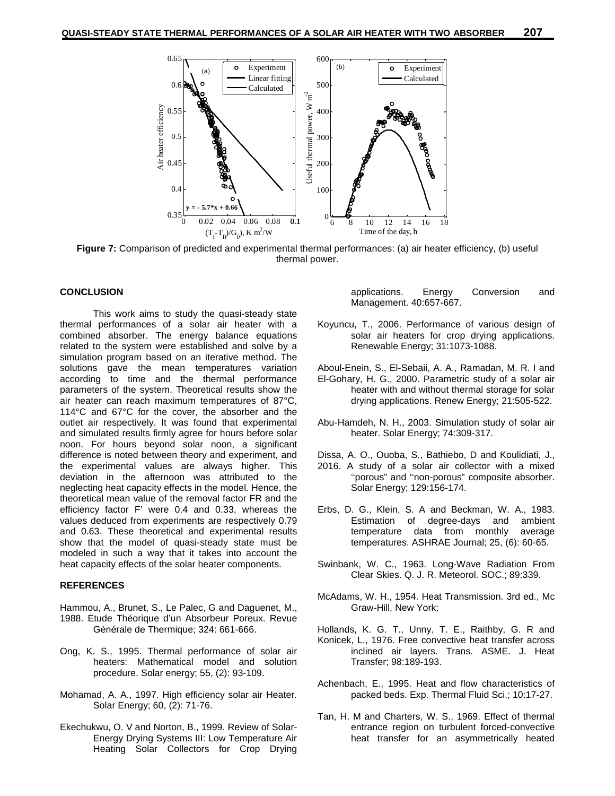

**Figure 7:** Comparison of predicted and experimental thermal performances: (a) air heater efficiency, (b) useful thermal power.

#### **CONCLUSION**

This work aims to study the quasi-steady state thermal performances of a solar air heater with a combined absorber. The energy balance equations related to the system were established and solve by a simulation program based on an iterative method. The solutions gave the mean temperatures variation according to time and the thermal performance parameters of the system. Theoretical results show the air heater can reach maximum temperatures of 87°C, 114°C and 67°C for the cover, the absorber and the outlet air respectively. It was found that experimental and simulated results firmly agree for hours before solar noon. For hours beyond solar noon, a significant difference is noted between theory and experiment, and the experimental values are always higher. This deviation in the afternoon was attributed to the neglecting heat capacity effects in the model. Hence, the theoretical mean value of the removal factor FR and the efficiency factor F' were 0.4 and 0.33, whereas the values deduced from experiments are respectively 0.79 and 0.63. These theoretical and experimental results show that the model of quasi-steady state must be modeled in such a way that it takes into account the heat capacity effects of the solar heater components.

#### **REFERENCES**

- Hammou, A., Brunet, S., Le Palec, G and Daguenet, M., 1988. Etude Théorique d'un Absorbeur Poreux. Revue Générale de Thermique; 324: 661-666.
- Ong, K. S., 1995. Thermal performance of solar air heaters: Mathematical model and solution procedure. Solar energy; 55, (2): 93-109.
- Mohamad, A. A., 1997. High efficiency solar air Heater. Solar Energy; 60, (2): 71-76.
- Ekechukwu, O. V and Norton, B., 1999. Review of Solar- Energy Drying Systems III: Low Temperature Air Heating Solar Collectors for Crop Drying

applications. Energy Conversion and Management. 40:657-667.

- Koyuncu, T., 2006. Performance of various design of solar air heaters for crop drying applications. Renewable Energy; 31:1073-1088.
- Aboul-Enein, S., El-Sebaii, A. A., Ramadan, M. R. I and El-Gohary, H. G., 2000. Parametric study of a solar air heater with and without thermal storage for solar drying applications. Renew Energy; 21:505-522.
- Abu-Hamdeh, N. H., 2003. Simulation study of solar air heater. Solar Energy; 74:309-317.
- Dissa, A. O., Ouoba, S., Bathiebo, D and Koulidiati, J.,
- 2016. A study of a solar air collector with a mixed ''porous" and ''non-porous" composite absorber. Solar Energy; 129:156-174.
- Erbs, D. G., Klein, S. A and Beckman, W. A., 1983. Estimation of degree-days and ambient temperature data from monthly average temperatures. ASHRAE Journal; 25, (6): 60-65.
- Swinbank, W. C., 1963. Long-Wave Radiation From Clear Skies. Q. J. R. Meteorol. SOC.; 89:339.
- McAdams, W. H., 1954. Heat Transmission. 3rd ed., Mc Graw-Hill, New York;
- Hollands, K. G. T., Unny, T. E., Raithby, G. R and Konicek, L., 1976. Free convective heat transfer across inclined air layers. Trans. ASME. J. Heat Transfer; 98:189-193.
- Achenbach, E., 1995. Heat and flow characteristics of packed beds. Exp. Thermal Fluid Sci.; 10:17-27.
- Tan, H. M and Charters, W. S., 1969. Effect of thermal entrance region on turbulent forced-convective heat transfer for an asymmetrically heated